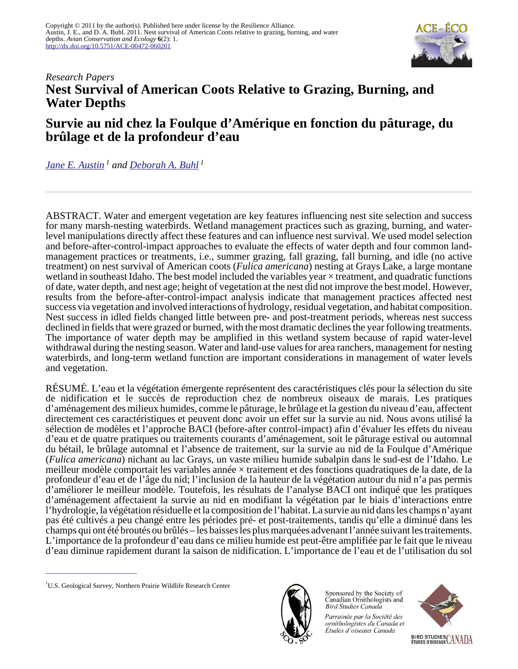

# *Research Papers* **Nest Survival of American Coots Relative to Grazing, Burning, and Water Depths**

# **Survie au nid chez la Foulque d'Amérique en fonction du pâturage, du brûlage et de la profondeur d'eau**

*[Jane E. Austin](mailto:jane_austin@usgs.gov)<sup>1</sup> and [Deborah A. Buhl](mailto:dbuhl@usgs.gov)<sup>1</sup>*

ABSTRACT. Water and emergent vegetation are key features influencing nest site selection and success for many marsh-nesting waterbirds. Wetland management practices such as grazing, burning, and waterlevel manipulations directly affect these features and can influence nest survival. We used model selection and before-after-control-impact approaches to evaluate the effects of water depth and four common landmanagement practices or treatments, i.e., summer grazing, fall grazing, fall burning, and idle (no active treatment) on nest survival of American coots (*Fulica americana*) nesting at Grays Lake, a large montane wetland in southeast Idaho. The best model included the variables year  $\times$  treatment, and quadratic functions of date, water depth, and nest age; height of vegetation at the nest did not improve the best model. However, results from the before-after-control-impact analysis indicate that management practices affected nest success via vegetation and involved interactions of hydrology, residual vegetation, and habitat composition. Nest success in idled fields changed little between pre- and post-treatment periods, whereas nest success declined in fields that were grazed or burned, with the most dramatic declines the year following treatments. The importance of water depth may be amplified in this wetland system because of rapid water-level withdrawal during the nesting season. Water and land-use values for area ranchers, management for nesting waterbirds, and long-term wetland function are important considerations in management of water levels and vegetation.

RÉSUMÉ. L'eau et la végétation émergente représentent des caractéristiques clés pour la sélection du site de nidification et le succès de reproduction chez de nombreux oiseaux de marais. Les pratiques d'aménagement des milieux humides, comme le pâturage, le brûlage et la gestion du niveau d'eau, affectent directement ces caractéristiques et peuvent donc avoir un effet sur la survie au nid. Nous avons utilisé la sélection de modèles et l'approche BACI (before-after control-impact) afin d'évaluer les effets du niveau d'eau et de quatre pratiques ou traitements courants d'aménagement, soit le pâturage estival ou automnal du bétail, le brûlage automnal et l'absence de traitement, sur la survie au nid de la Foulque d'Amérique (*Fulica americana*) nichant au lac Grays, un vaste milieu humide subalpin dans le sud-est de l'Idaho. Le meilleur modèle comportait les variables année × traitement et des fonctions quadratiques de la date, de la profondeur d'eau et de l'âge du nid; l'inclusion de la hauteur de la végétation autour du nid n'a pas permis d'améliorer le meilleur modèle. Toutefois, les résultats de l'analyse BACI ont indiqué que les pratiques d'aménagement affectaient la survie au nid en modifiant la végétation par le biais d'interactions entre l'hydrologie, la végétation résiduelle et la composition de l'habitat. La survie au nid dans les champs n'ayant pas été cultivés a peu changé entre les périodes pré- et post-traitements, tandis qu'elle a diminué dans les champs qui ont été broutés ou brûlés – les baisses les plus marquées advenant l'année suivant les traitements. L'importance de la profondeur d'eau dans ce milieu humide est peut-être amplifiée par le fait que le niveau d'eau diminue rapidement durant la saison de nidification. L'importance de l'eau et de l'utilisation du sol



Sponsored by the Society of Canadian Ornithologists and **Bird Studies Canada** 

Parrainée par la Société des ornithologistes du Canada et Études d'oiseaux Canada



<sup>&</sup>lt;sup>1</sup>U.S. Geological Survey, Northern Prairie Wildlife Research Center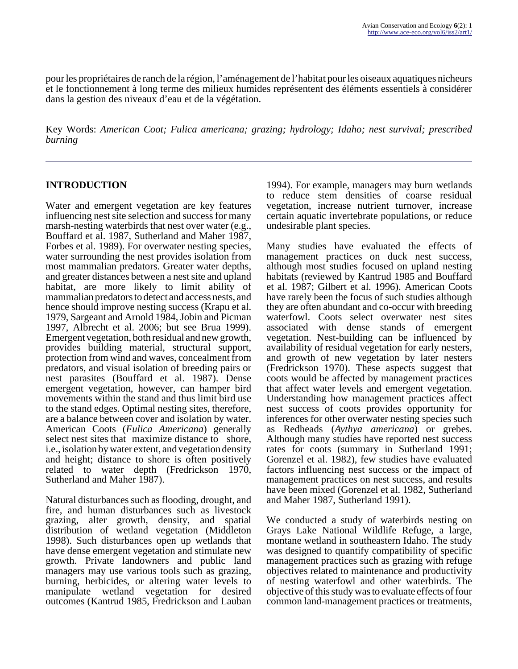pour les propriétaires de ranch de la région, l'aménagement de l'habitat pour les oiseaux aquatiques nicheurs et le fonctionnement à long terme des milieux humides représentent des éléments essentiels à considérer dans la gestion des niveaux d'eau et de la végétation.

Key Words: *American Coot; Fulica americana; grazing; hydrology; Idaho; nest survival; prescribed burning*

#### **INTRODUCTION**

Water and emergent vegetation are key features influencing nest site selection and success for many marsh-nesting waterbirds that nest over water (e.g., Bouffard et al. 1987, Sutherland and Maher 1987, Forbes et al. 1989). For overwater nesting species, water surrounding the nest provides isolation from most mammalian predators. Greater water depths, and greater distances between a nest site and upland habitat, are more likely to limit ability of mammalian predators to detect and access nests, and hence should improve nesting success (Krapu et al. 1979, Sargeant and Arnold 1984, Jobin and Picman 1997, Albrecht et al. 2006; but see Brua 1999). Emergent vegetation, both residual and new growth, provides building material, structural support, protection from wind and waves, concealment from predators, and visual isolation of breeding pairs or nest parasites (Bouffard et al. 1987). Dense emergent vegetation, however, can hamper bird movements within the stand and thus limit bird use to the stand edges. Optimal nesting sites, therefore, are a balance between cover and isolation by water. American Coots (*Fulica Americana*) generally select nest sites that maximize distance to shore, i.e., isolation by water extent, and vegetation density and height; distance to shore is often positively related to water depth (Fredrickson 1970, Sutherland and Maher 1987).

Natural disturbances such as flooding, drought, and fire, and human disturbances such as livestock grazing, alter growth, density, and spatial distribution of wetland vegetation (Middleton 1998). Such disturbances open up wetlands that have dense emergent vegetation and stimulate new growth. Private landowners and public land managers may use various tools such as grazing, burning, herbicides, or altering water levels to manipulate wetland vegetation for desired outcomes (Kantrud 1985, Fredrickson and Lauban

1994). For example, managers may burn wetlands to reduce stem densities of coarse residual vegetation, increase nutrient turnover, increase certain aquatic invertebrate populations, or reduce undesirable plant species.

Many studies have evaluated the effects of management practices on duck nest success, although most studies focused on upland nesting habitats (reviewed by Kantrud 1985 and Bouffard et al. 1987; Gilbert et al. 1996). American Coots have rarely been the focus of such studies although they are often abundant and co-occur with breeding waterfowl. Coots select overwater nest sites associated with dense stands of emergent vegetation. Nest-building can be influenced by availability of residual vegetation for early nesters, and growth of new vegetation by later nesters (Fredrickson 1970). These aspects suggest that coots would be affected by management practices that affect water levels and emergent vegetation. Understanding how management practices affect nest success of coots provides opportunity for inferences for other overwater nesting species such as Redheads (*Aythya americana*) or grebes. Although many studies have reported nest success rates for coots (summary in Sutherland 1991; Gorenzel et al. 1982), few studies have evaluated factors influencing nest success or the impact of management practices on nest success, and results have been mixed (Gorenzel et al. 1982, Sutherland and Maher 1987, Sutherland 1991).

We conducted a study of waterbirds nesting on Grays Lake National Wildlife Refuge, a large, montane wetland in southeastern Idaho. The study was designed to quantify compatibility of specific management practices such as grazing with refuge objectives related to maintenance and productivity of nesting waterfowl and other waterbirds. The objective of this study was to evaluate effects of four common land-management practices or treatments,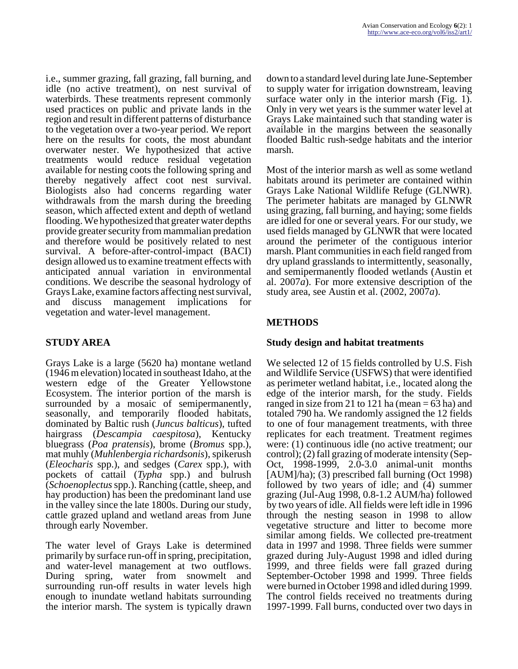i.e., summer grazing, fall grazing, fall burning, and idle (no active treatment), on nest survival of waterbirds. These treatments represent commonly used practices on public and private lands in the region and result in different patterns of disturbance to the vegetation over a two-year period. We report here on the results for coots, the most abundant overwater nester. We hypothesized that active treatments would reduce residual vegetation available for nesting coots the following spring and thereby negatively affect coot nest survival. Biologists also had concerns regarding water withdrawals from the marsh during the breeding season, which affected extent and depth of wetland flooding. We hypothesized that greater water depths provide greater security from mammalian predation and therefore would be positively related to nest survival. A before-after-control-impact (BACI) design allowed us to examine treatment effects with anticipated annual variation in environmental conditions. We describe the seasonal hydrology of Grays Lake, examine factors affecting nest survival, and discuss management implications for vegetation and water-level management.

# **STUDY AREA**

Grays Lake is a large (5620 ha) montane wetland (1946 m elevation) located in southeast Idaho, at the western edge of the Greater Yellowstone Ecosystem. The interior portion of the marsh is surrounded by a mosaic of semipermanently, seasonally, and temporarily flooded habitats, dominated by Baltic rush (*Juncus balticus*), tufted hairgrass (*Descampia caespitosa*), Kentucky bluegrass (*Poa pratensis*), brome (*Bromus* spp.), mat muhly (*Muhlenbergia richardsonis*), spikerush (*Eleocharis* spp.), and sedges (*Carex* spp.), with pockets of cattail (*Typha* spp.) and bulrush (*Schoenoplectus* spp.). Ranching (cattle, sheep, and hay production) has been the predominant land use in the valley since the late 1800s. During our study, cattle grazed upland and wetland areas from June through early November.

The water level of Grays Lake is determined primarily by surface run-off in spring, precipitation, and water-level management at two outflows. During spring, water from snowmelt and surrounding run-off results in water levels high enough to inundate wetland habitats surrounding the interior marsh. The system is typically drawn

down to a standard level during late June-September to supply water for irrigation downstream, leaving surface water only in the interior marsh (Fig. 1). Only in very wet years is the summer water level at Grays Lake maintained such that standing water is available in the margins between the seasonally flooded Baltic rush-sedge habitats and the interior marsh.

Most of the interior marsh as well as some wetland habitats around its perimeter are contained within Grays Lake National Wildlife Refuge (GLNWR). The perimeter habitats are managed by GLNWR using grazing, fall burning, and haying; some fields are idled for one or several years. For our study, we used fields managed by GLNWR that were located around the perimeter of the contiguous interior marsh. Plant communities in each field ranged from dry upland grasslands to intermittently, seasonally, and semipermanently flooded wetlands (Austin et al. 2007*a*). For more extensive description of the study area, see Austin et al. (2002, 2007*a*).

# **METHODS**

# **Study design and habitat treatments**

We selected 12 of 15 fields controlled by U.S. Fish and Wildlife Service (USFWS) that were identified as perimeter wetland habitat, i.e., located along the edge of the interior marsh, for the study. Fields ranged in size from 21 to 121 ha (mean  $= 63$  ha) and totaled 790 ha. We randomly assigned the 12 fields to one of four management treatments, with three replicates for each treatment. Treatment regimes were: (1) continuous idle (no active treatment; our control); (2) fall grazing of moderate intensity (Sep-Oct, 1998-1999, 2.0-3.0 animal-unit months [AUM]/ha); (3) prescribed fall burning (Oct 1998) followed by two years of idle; and (4) summer grazing (Jul-Aug 1998, 0.8-1.2 AUM/ha) followed by two years of idle. All fields were left idle in 1996 through the nesting season in 1998 to allow vegetative structure and litter to become more similar among fields. We collected pre-treatment data in 1997 and 1998. Three fields were summer grazed during July-August 1998 and idled during 1999, and three fields were fall grazed during September-October 1998 and 1999. Three fields were burned in October 1998 and idled during 1999. The control fields received no treatments during 1997-1999. Fall burns, conducted over two days in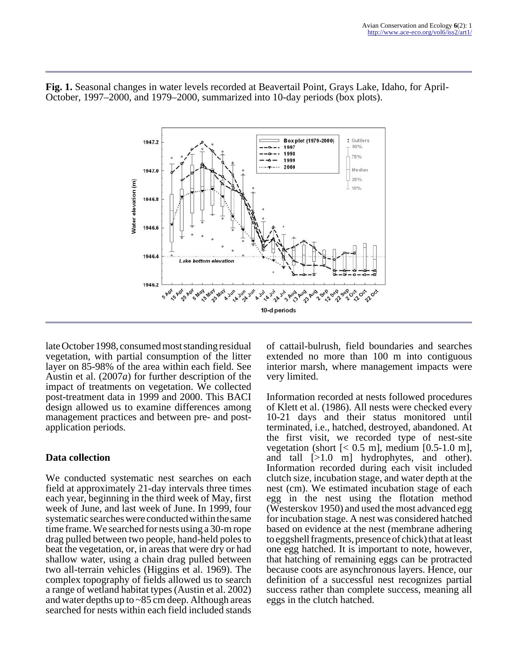

**Fig. 1.** Seasonal changes in water levels recorded at Beavertail Point, Grays Lake, Idaho, for April-October, 1997–2000, and 1979–2000, summarized into 10-day periods (box plots).

late October 1998, consumed most standing residual vegetation, with partial consumption of the litter layer on 85-98% of the area within each field. See Austin et al. (2007*a*) for further description of the impact of treatments on vegetation. We collected post-treatment data in 1999 and 2000. This BACI design allowed us to examine differences among management practices and between pre- and postapplication periods.

# **Data collection**

We conducted systematic nest searches on each field at approximately 21-day intervals three times each year, beginning in the third week of May, first week of June, and last week of June. In 1999, four systematic searches were conducted within the same time frame. We searched for nests using a 30-m rope drag pulled between two people, hand-held poles to beat the vegetation, or, in areas that were dry or had shallow water, using a chain drag pulled between two all-terrain vehicles (Higgins et al. 1969). The complex topography of fields allowed us to search a range of wetland habitat types (Austin et al. 2002) and water depths up to ~85 cm deep. Although areas searched for nests within each field included stands

of cattail-bulrush, field boundaries and searches extended no more than 100 m into contiguous interior marsh, where management impacts were very limited.

Information recorded at nests followed procedures of Klett et al. (1986). All nests were checked every 10-21 days and their status monitored until terminated, i.e., hatched, destroyed, abandoned. At the first visit, we recorded type of nest-site vegetation (short  $\left[$  < 0.5 m], medium  $\left[$  0.5-1.0 m], and tall [>1.0 m] hydrophytes, and other). Information recorded during each visit included clutch size, incubation stage, and water depth at the nest (cm). We estimated incubation stage of each egg in the nest using the flotation method (Westerskov 1950) and used the most advanced egg for incubation stage. A nest was considered hatched based on evidence at the nest (membrane adhering to eggshell fragments, presence of chick) that at least one egg hatched. It is important to note, however, that hatching of remaining eggs can be protracted because coots are asynchronous layers. Hence, our definition of a successful nest recognizes partial success rather than complete success, meaning all eggs in the clutch hatched.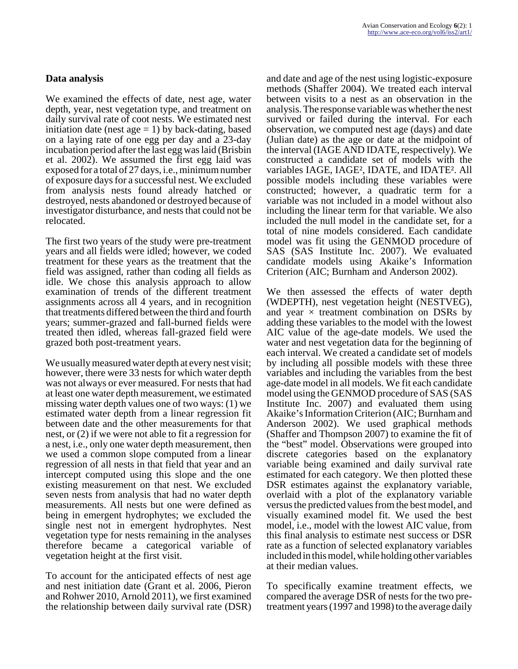# **Data analysis**

We examined the effects of date, nest age, water depth, year, nest vegetation type, and treatment on daily survival rate of coot nests. We estimated nest initiation date (nest  $age = 1$ ) by back-dating, based on a laying rate of one egg per day and a 23-day incubation period after the last egg was laid (Brisbin et al. 2002). We assumed the first egg laid was exposed for a total of 27 days, i.e., minimum number of exposure days for a successful nest. We excluded from analysis nests found already hatched or destroyed, nests abandoned or destroyed because of investigator disturbance, and nests that could not be relocated.

The first two years of the study were pre-treatment years and all fields were idled; however, we coded treatment for these years as the treatment that the field was assigned, rather than coding all fields as idle. We chose this analysis approach to allow examination of trends of the different treatment assignments across all 4 years, and in recognition that treatments differed between the third and fourth years; summer-grazed and fall-burned fields were treated then idled, whereas fall-grazed field were grazed both post-treatment years.

We usually measured water depth at every nest visit; however, there were 33 nests for which water depth was not always or ever measured. For nests that had at least one water depth measurement, we estimated missing water depth values one of two ways: (1) we estimated water depth from a linear regression fit between date and the other measurements for that nest, or (2) if we were not able to fit a regression for a nest, i.e., only one water depth measurement, then we used a common slope computed from a linear regression of all nests in that field that year and an intercept computed using this slope and the one existing measurement on that nest. We excluded seven nests from analysis that had no water depth measurements. All nests but one were defined as being in emergent hydrophytes; we excluded the single nest not in emergent hydrophytes. Nest vegetation type for nests remaining in the analyses therefore became a categorical variable of vegetation height at the first visit.

To account for the anticipated effects of nest age and nest initiation date (Grant et al. 2006, Pieron and Rohwer 2010, Arnold 2011), we first examined the relationship between daily survival rate (DSR)

and date and age of the nest using logistic-exposure methods (Shaffer 2004). We treated each interval between visits to a nest as an observation in the analysis. The response variable was whether the nest survived or failed during the interval. For each observation, we computed nest age (days) and date (Julian date) as the age or date at the midpoint of the interval (IAGE AND IDATE, respectively). We constructed a candidate set of models with the variables IAGE, IAGE², IDATE, and IDATE². All possible models including these variables were constructed; however, a quadratic term for a variable was not included in a model without also including the linear term for that variable. We also included the null model in the candidate set, for a total of nine models considered. Each candidate model was fit using the GENMOD procedure of SAS (SAS Institute Inc. 2007). We evaluated candidate models using Akaike's Information Criterion (AIC; Burnham and Anderson 2002).

We then assessed the effects of water depth (WDEPTH), nest vegetation height (NESTVEG), and year  $\times$  treatment combination on DSRs by adding these variables to the model with the lowest AIC value of the age-date models. We used the water and nest vegetation data for the beginning of each interval. We created a candidate set of models by including all possible models with these three variables and including the variables from the best age-date model in all models. We fit each candidate model using the GENMOD procedure of SAS (SAS Institute Inc. 2007) and evaluated them using Akaike's Information Criterion (AIC; Burnham and Anderson 2002). We used graphical methods (Shaffer and Thompson 2007) to examine the fit of the "best" model. Observations were grouped into discrete categories based on the explanatory variable being examined and daily survival rate estimated for each category. We then plotted these DSR estimates against the explanatory variable, overlaid with a plot of the explanatory variable versus the predicted values from the best model, and visually examined model fit. We used the best model, i.e., model with the lowest AIC value, from this final analysis to estimate nest success or DSR rate as a function of selected explanatory variables included in this model, while holding other variables at their median values.

To specifically examine treatment effects, we compared the average DSR of nests for the two pretreatment years (1997 and 1998) to the average daily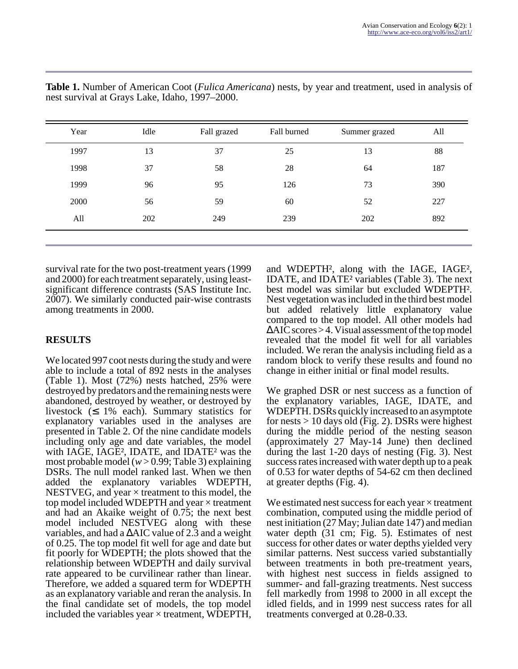| Year | Idle | Fall grazed | Fall burned | Summer grazed | All |
|------|------|-------------|-------------|---------------|-----|
| 1997 | 13   | 37          | 25          | 13            | 88  |
| 1998 | 37   | 58          | 28          | 64            | 187 |
| 1999 | 96   | 95          | 126         | 73            | 390 |
| 2000 | 56   | 59          | 60          | 52            | 227 |
| All  | 202  | 249         | 239         | 202           | 892 |
|      |      |             |             |               |     |

**Table 1.** Number of American Coot (*Fulica Americana*) nests, by year and treatment, used in analysis of nest survival at Grays Lake, Idaho, 1997–2000.

survival rate for the two post-treatment years (1999 and 2000) for each treatment separately, using leastsignificant difference contrasts (SAS Institute Inc. 2007). We similarly conducted pair-wise contrasts among treatments in 2000.

# **RESULTS**

We located 997 coot nests during the study and were able to include a total of 892 nests in the analyses (Table 1). Most (72%) nests hatched, 25% were destroyed by predators and the remaining nests were abandoned, destroyed by weather, or destroyed by livestock  $(≤ 1%$  each). Summary statistics for explanatory variables used in the analyses are presented in Table 2. Of the nine candidate models including only age and date variables, the model with IAGE, IAGE<sup>2</sup>, IDATE, and IDATE<sup>2</sup> was the most probable model (*w* > 0.99; Table 3) explaining DSRs. The null model ranked last. When we then added the explanatory variables WDEPTH, NESTVEG, and year  $\times$  treatment to this model, the top model included WDEPTH and year  $\times$  treatment and had an Akaike weight of 0.75; the next best model included NESTVEG along with these variables, and had a ∆AIC value of 2.3 and a weight of 0.25. The top model fit well for age and date but fit poorly for WDEPTH; the plots showed that the relationship between WDEPTH and daily survival rate appeared to be curvilinear rather than linear. Therefore, we added a squared term for WDEPTH as an explanatory variable and reran the analysis. In the final candidate set of models, the top model included the variables year  $\times$  treatment, WDEPTH,

and WDEPTH², along with the IAGE, IAGE², IDATE, and IDATE² variables (Table 3). The next best model was similar but excluded WDEPTH². Nest vegetation was included in the third best model but added relatively little explanatory value compared to the top model. All other models had ∆AIC scores > 4. Visual assessment of the top model revealed that the model fit well for all variables included. We reran the analysis including field as a random block to verify these results and found no change in either initial or final model results.

We graphed DSR or nest success as a function of the explanatory variables, IAGE, IDATE, and WDEPTH. DSRs quickly increased to an asymptote for nests > 10 days old (Fig. 2). DSRs were highest during the middle period of the nesting season (approximately 27 May-14 June) then declined during the last 1-20 days of nesting (Fig. 3). Nest success rates increased with water depth up to a peak of 0.53 for water depths of 54-62 cm then declined at greater depths (Fig. 4).

We estimated nest success for each year  $\times$  treatment combination, computed using the middle period of nest initiation (27 May; Julian date 147) and median water depth (31 cm; Fig. 5). Estimates of nest success for other dates or water depths yielded very similar patterns. Nest success varied substantially between treatments in both pre-treatment years, with highest nest success in fields assigned to summer- and fall-grazing treatments. Nest success fell markedly from 1998 to 2000 in all except the idled fields, and in 1999 nest success rates for all treatments converged at 0.28-0.33.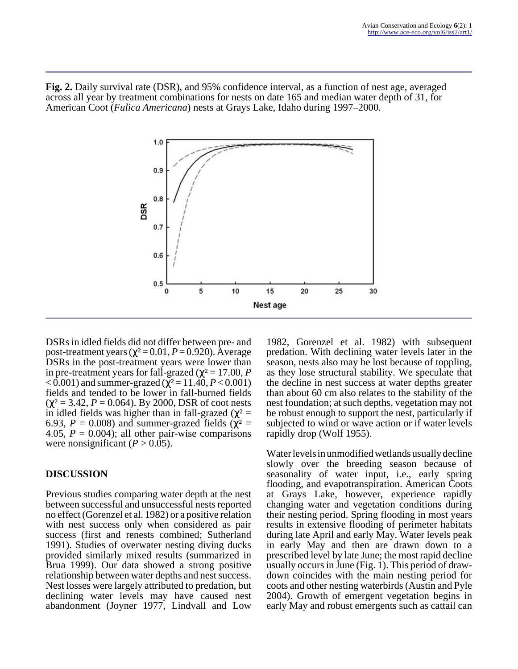**Fig. 2.** Daily survival rate (DSR), and 95% confidence interval, as a function of nest age, averaged across all year by treatment combinations for nests on date 165 and median water depth of 31, for American Coot (*Fulica Americana*) nests at Grays Lake, Idaho during 1997–2000.



DSRs in idled fields did not differ between pre- and post-treatment years ( $χ² = 0.01, P = 0.920$ ). Average DSRs in the post-treatment years were lower than in pre-treatment years for fall-grazed ( $\chi^2$  = 17.00, *P*  $<$  0.001) and summer-grazed ( $χ$ <sup>2</sup> = 11.40, *P* < 0.001) fields and tended to be lower in fall-burned fields  $(\chi^2 = 3.42, P = 0.064)$ . By 2000, DSR of coot nests in idled fields was higher than in fall-grazed ( $\chi^2$  = 6.93,  $P = 0.008$ ) and summer-grazed fields ( $\chi^2$  = 4.05,  $P = 0.004$ ); all other pair-wise comparisons were nonsignificant  $(P > 0.05)$ .

# **DISCUSSION**

Previous studies comparing water depth at the nest between successful and unsuccessful nests reported no effect (Gorenzel et al. 1982) or a positive relation with nest success only when considered as pair success (first and renests combined; Sutherland 1991). Studies of overwater nesting diving ducks provided similarly mixed results (summarized in Brua 1999). Our data showed a strong positive relationship between water depths and nest success. Nest losses were largely attributed to predation, but declining water levels may have caused nest abandonment (Joyner 1977, Lindvall and Low

1982, Gorenzel et al. 1982) with subsequent predation. With declining water levels later in the season, nests also may be lost because of toppling, as they lose structural stability. We speculate that the decline in nest success at water depths greater than about 60 cm also relates to the stability of the nest foundation; at such depths, vegetation may not be robust enough to support the nest, particularly if subjected to wind or wave action or if water levels rapidly drop (Wolf 1955).

Water levels in unmodified wetlands usually decline slowly over the breeding season because of seasonality of water input, i.e., early spring flooding, and evapotranspiration. American Coots at Grays Lake, however, experience rapidly changing water and vegetation conditions during their nesting period. Spring flooding in most years results in extensive flooding of perimeter habitats during late April and early May. Water levels peak in early May and then are drawn down to a prescribed level by late June; the most rapid decline usually occurs in June (Fig. 1). This period of drawdown coincides with the main nesting period for coots and other nesting waterbirds (Austin and Pyle 2004). Growth of emergent vegetation begins in early May and robust emergents such as cattail can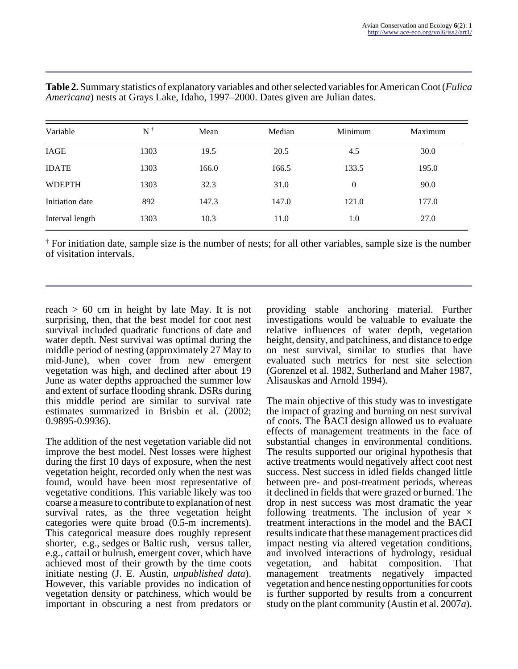| Variable        | $\mathrm{N}^+$ | Mean  | Median | Minimum          | Maximum |
|-----------------|----------------|-------|--------|------------------|---------|
| IAGE            | 1303           | 19.5  | 20.5   | 4.5              | 30.0    |
| <b>IDATE</b>    | 1303           | 166.0 | 166.5  | 133.5            | 195.0   |
| <b>WDEPTH</b>   | 1303           | 32.3  | 31.0   | $\boldsymbol{0}$ | 90.0    |
| Initiation date | 892            | 147.3 | 147.0  | 121.0            | 177.0   |
| Interval length | 1303           | 10.3  | 11.0   | 1.0              | 27.0    |

**Table 2.** Summary statistics of explanatory variables and other selected variables for American Coot (*Fulica Americana*) nests at Grays Lake, Idaho, 1997–2000. Dates given are Julian dates.

† For initiation date, sample size is the number of nests; for all other variables, sample size is the number of visitation intervals.

reach  $> 60$  cm in height by late May. It is not surprising, then, that the best model for coot nest survival included quadratic functions of date and water depth. Nest survival was optimal during the middle period of nesting (approximately 27 May to mid-June), when cover from new emergent vegetation was high, and declined after about 19 June as water depths approached the summer low and extent of surface flooding shrank. DSRs during this middle period are similar to survival rate estimates summarized in Brisbin et al. (2002; 0.9895-0.9936).

The addition of the nest vegetation variable did not improve the best model. Nest losses were highest during the first 10 days of exposure, when the nest vegetation height, recorded only when the nest was found, would have been most representative of vegetative conditions. This variable likely was too coarse a measure to contribute to explanation of nest survival rates, as the three vegetation height categories were quite broad (0.5-m increments). This categorical measure does roughly represent shorter, e.g., sedges or Baltic rush, versus taller, e.g., cattail or bulrush, emergent cover, which have achieved most of their growth by the time coots initiate nesting (J. E. Austin, *unpublished data*). However, this variable provides no indication of vegetation density or patchiness, which would be important in obscuring a nest from predators or

providing stable anchoring material. Further investigations would be valuable to evaluate the relative influences of water depth, vegetation height, density, and patchiness, and distance to edge on nest survival, similar to studies that have evaluated such metrics for nest site selection (Gorenzel et al. 1982, Sutherland and Maher 1987, Alisauskas and Arnold 1994).

The main objective of this study was to investigate the impact of grazing and burning on nest survival of coots. The BACI design allowed us to evaluate effects of management treatments in the face of substantial changes in environmental conditions. The results supported our original hypothesis that active treatments would negatively affect coot nest success. Nest success in idled fields changed little between pre- and post-treatment periods, whereas it declined in fields that were grazed or burned. The drop in nest success was most dramatic the year following treatments. The inclusion of year  $\times$ treatment interactions in the model and the BACI results indicate that these management practices did impact nesting via altered vegetation conditions, and involved interactions of hydrology, residual vegetation, and habitat composition. That management treatments negatively impacted vegetation and hence nesting opportunities for coots is further supported by results from a concurrent study on the plant community (Austin et al. 2007*a*).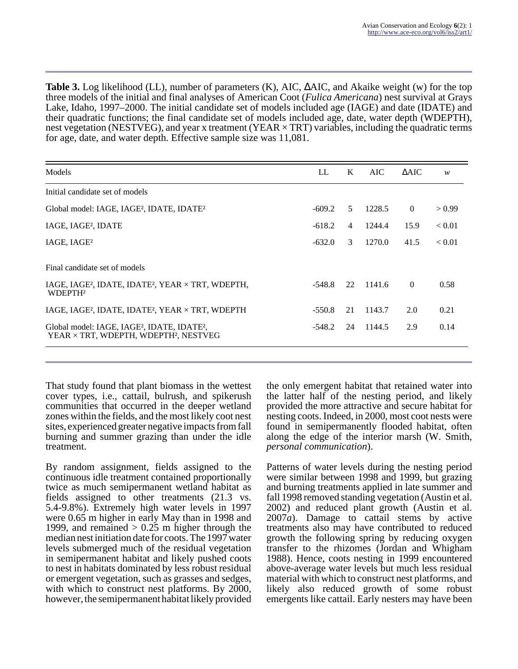**Table 3.** Log likelihood (LL), number of parameters (K), AIC, ∆AIC, and Akaike weight (w) for the top three models of the initial and final analyses of American Coot (*Fulica Americana*) nest survival at Grays Lake, Idaho, 1997–2000. The initial candidate set of models included age (IAGE) and date (IDATE) and their quadratic functions; the final candidate set of models included age, date, water depth (WDEPTH), nest vegetation (NESTVEG), and year x treatment (YEAR  $\times$  TRT) variables, including the quadratic terms for age, date, and water depth. Effective sample size was 11,081.

| Models                                                                                                                   | LL       | K              | AIC.   | $\triangle AIC$ | w      |
|--------------------------------------------------------------------------------------------------------------------------|----------|----------------|--------|-----------------|--------|
| Initial candidate set of models                                                                                          |          |                |        |                 |        |
| Global model: IAGE, IAGE <sup>2</sup> , IDATE, IDATE <sup>2</sup>                                                        | $-609.2$ | .5             | 1228.5 | $\overline{0}$  | > 0.99 |
| IAGE, IAGE <sup>2</sup> , IDATE                                                                                          | $-618.2$ | $\overline{4}$ | 1244.4 | 15.9            | < 0.01 |
| IAGE, IAGE <sup>2</sup>                                                                                                  | $-632.0$ | 3              | 1270.0 | 41.5            | < 0.01 |
| Final candidate set of models                                                                                            |          |                |        |                 |        |
| IAGE, IAGE <sup>2</sup> , IDATE, IDATE <sup>2</sup> , YEAR $\times$ TRT, WDEPTH,<br>WDEPTH <sup>2</sup>                  |          | 22             | 1141.6 | $\Omega$        | 0.58   |
| IAGE, IAGE <sup>2</sup> , IDATE, IDATE <sup>2</sup> , YEAR $\times$ TRT, WDEPTH                                          |          | 21             | 1143.7 | 2.0             | 0.21   |
| Global model: IAGE, IAGE <sup>2</sup> , IDATE, IDATE <sup>2</sup> ,<br>YEAR × TRT, WDEPTH, WDEPTH <sup>2</sup> , NESTVEG |          | 24             | 1144.5 | 2.9             | 0.14   |

That study found that plant biomass in the wettest cover types, i.e., cattail, bulrush, and spikerush communities that occurred in the deeper wetland zones within the fields, and the most likely coot nest sites, experienced greater negative impacts from fall burning and summer grazing than under the idle treatment.

By random assignment, fields assigned to the continuous idle treatment contained proportionally twice as much semipermanent wetland habitat as fields assigned to other treatments (21.3 vs. 5.4-9.8%). Extremely high water levels in 1997 were 0.65 m higher in early May than in 1998 and 1999, and remained  $> 0.25$  m higher through the median nest initiation date for coots. The 1997 water levels submerged much of the residual vegetation in semipermanent habitat and likely pushed coots to nest in habitats dominated by less robust residual or emergent vegetation, such as grasses and sedges, with which to construct nest platforms. By 2000, however, the semipermanent habitat likely provided

the only emergent habitat that retained water into the latter half of the nesting period, and likely provided the more attractive and secure habitat for nesting coots. Indeed, in 2000, most coot nests were found in semipermanently flooded habitat, often along the edge of the interior marsh (W. Smith, *personal communication*).

Patterns of water levels during the nesting period were similar between 1998 and 1999, but grazing and burning treatments applied in late summer and fall 1998 removed standing vegetation (Austin et al. 2002) and reduced plant growth (Austin et al. 2007*a*). Damage to cattail stems by active treatments also may have contributed to reduced growth the following spring by reducing oxygen transfer to the rhizomes (Jordan and Whigham 1988). Hence, coots nesting in 1999 encountered above-average water levels but much less residual material with which to construct nest platforms, and likely also reduced growth of some robust emergents like cattail. Early nesters may have been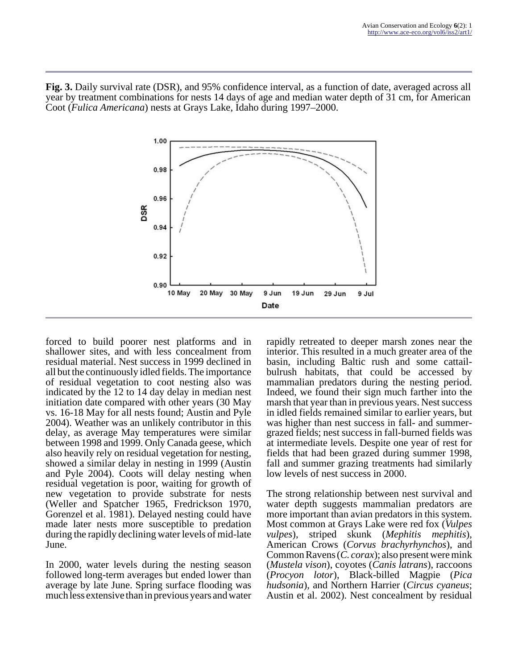**Fig. 3.** Daily survival rate (DSR), and 95% confidence interval, as a function of date, averaged across all year by treatment combinations for nests 14 days of age and median water depth of 31 cm, for American Coot (*Fulica Americana*) nests at Grays Lake, Idaho during 1997–2000.



forced to build poorer nest platforms and in shallower sites, and with less concealment from residual material. Nest success in 1999 declined in all but the continuously idled fields. The importance of residual vegetation to coot nesting also was indicated by the 12 to 14 day delay in median nest initiation date compared with other years (30 May vs. 16-18 May for all nests found; Austin and Pyle 2004). Weather was an unlikely contributor in this delay, as average May temperatures were similar between 1998 and 1999. Only Canada geese, which also heavily rely on residual vegetation for nesting, showed a similar delay in nesting in 1999 (Austin and Pyle 2004). Coots will delay nesting when residual vegetation is poor, waiting for growth of new vegetation to provide substrate for nests (Weller and Spatcher 1965, Fredrickson 1970, Gorenzel et al. 1981). Delayed nesting could have made later nests more susceptible to predation during the rapidly declining water levels of mid-late June.

In 2000, water levels during the nesting season followed long-term averages but ended lower than average by late June. Spring surface flooding was much less extensive than in previous years and water rapidly retreated to deeper marsh zones near the interior. This resulted in a much greater area of the basin, including Baltic rush and some cattailbulrush habitats, that could be accessed by mammalian predators during the nesting period. Indeed, we found their sign much farther into the marsh that year than in previous years. Nest success in idled fields remained similar to earlier years, but was higher than nest success in fall- and summergrazed fields; nest success in fall-burned fields was at intermediate levels. Despite one year of rest for fields that had been grazed during summer 1998, fall and summer grazing treatments had similarly low levels of nest success in 2000.

The strong relationship between nest survival and water depth suggests mammalian predators are more important than avian predators in this system. Most common at Grays Lake were red fox (*Vulpes vulpes*), striped skunk (*Mephitis mephitis*), American Crows (*Corvus brachyrhynchos*), and Common Ravens (*C. corax*); also present were mink (*Mustela vison*), coyotes (*Canis latrans*), raccoons (*Procyon lotor*), Black-billed Magpie (*Pica hudsonia*), and Northern Harrier (*Circus cyaneus*; Austin et al. 2002). Nest concealment by residual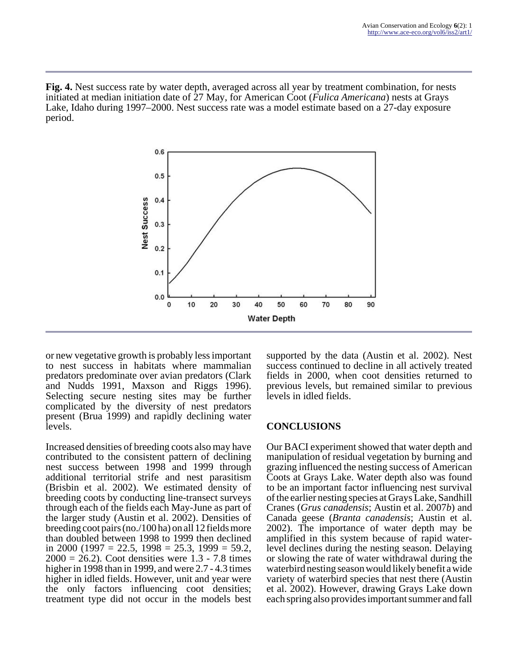**Fig. 4.** Nest success rate by water depth, averaged across all year by treatment combination, for nests initiated at median initiation date of 27 May, for American Coot (*Fulica Americana*) nests at Grays Lake, Idaho during 1997–2000. Nest success rate was a model estimate based on a 27-day exposure period.



or new vegetative growth is probably less important to nest success in habitats where mammalian predators predominate over avian predators (Clark and Nudds 1991, Maxson and Riggs 1996). Selecting secure nesting sites may be further complicated by the diversity of nest predators present (Brua 1999) and rapidly declining water levels.

Increased densities of breeding coots also may have contributed to the consistent pattern of declining nest success between 1998 and 1999 through additional territorial strife and nest parasitism (Brisbin et al. 2002). We estimated density of breeding coots by conducting line-transect surveys through each of the fields each May-June as part of the larger study (Austin et al. 2002). Densities of breeding coot pairs (no./100 ha) on all 12 fields more than doubled between 1998 to 1999 then declined in 2000 (1997 = 22.5, 1998 = 25.3, 1999 = 59.2,  $2000 = 26.2$ ). Coot densities were 1.3 - 7.8 times higher in 1998 than in 1999, and were 2.7 - 4.3 times higher in idled fields. However, unit and year were the only factors influencing coot densities; treatment type did not occur in the models best

supported by the data (Austin et al. 2002). Nest success continued to decline in all actively treated fields in 2000, when coot densities returned to previous levels, but remained similar to previous levels in idled fields.

# **CONCLUSIONS**

Our BACI experiment showed that water depth and manipulation of residual vegetation by burning and grazing influenced the nesting success of American Coots at Grays Lake. Water depth also was found to be an important factor influencing nest survival of the earlier nesting species at Grays Lake, Sandhill Cranes (*Grus canadensis*; Austin et al. 2007*b*) and Canada geese (*Branta canadensis*; Austin et al. 2002). The importance of water depth may be amplified in this system because of rapid waterlevel declines during the nesting season. Delaying or slowing the rate of water withdrawal during the waterbird nesting season would likely benefit a wide variety of waterbird species that nest there (Austin et al. 2002). However, drawing Grays Lake down each spring also provides important summer and fall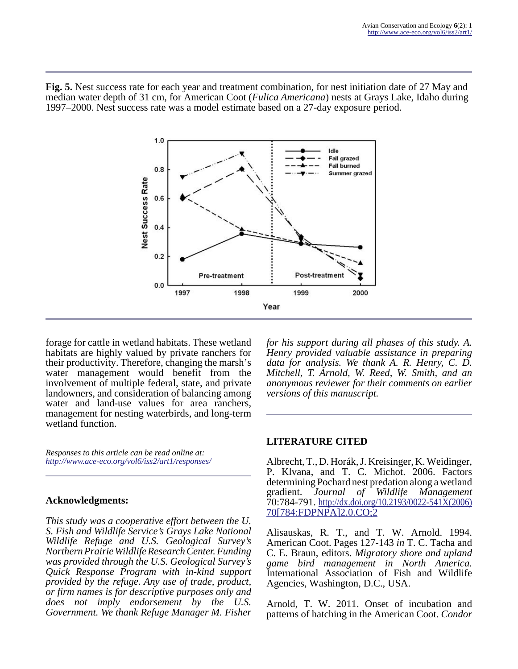**Fig. 5.** Nest success rate for each year and treatment combination, for nest initiation date of 27 May and median water depth of 31 cm, for American Coot (*Fulica Americana*) nests at Grays Lake, Idaho during 1997–2000. Nest success rate was a model estimate based on a 27-day exposure period.



forage for cattle in wetland habitats. These wetland habitats are highly valued by private ranchers for their productivity. Therefore, changing the marsh's water management would benefit from the involvement of multiple federal, state, and private landowners, and consideration of balancing among water and land-use values for area ranchers, management for nesting waterbirds, and long-term wetland function.

*Responses to this article can be read online at: <http://www.ace-eco.org/vol6/iss2/art1/responses/>*

# **Acknowledgments:**

*This study was a cooperative effort between the U. S. Fish and Wildlife Service's Grays Lake National Wildlife Refuge and U.S. Geological Survey's Northern Prairie Wildlife Research Center. Funding was provided through the U.S. Geological Survey's Quick Response Program with in-kind support provided by the refuge. Any use of trade, product, or firm names is for descriptive purposes only and does not imply endorsement by the U.S. Government. We thank Refuge Manager M. Fisher*

*for his support during all phases of this study. A. Henry provided valuable assistance in preparing data for analysis. We thank A. R. Henry, C. D. Mitchell, T. Arnold, W. Reed, W. Smith, and an anonymous reviewer for their comments on earlier versions of this manuscript.*

# **LITERATURE CITED**

Albrecht, T., D. Horák, J. Kreisinger, K. Weidinger, P. Klvana, and T. C. Michot. 2006. Factors determining Pochard nest predation along a wetland gradient. *Journal of Wildlife Management*  $70:784-791.$  [http://dx.doi.org/10.2193/0022-541X\(2006\)](http://dx.doi.org/10.2193/0022-541X(2006)70[784:FDPNPA]2.0.CO;2) [70\[784:FDPNPA\]2.0.CO;2](http://dx.doi.org/10.2193/0022-541X(2006)70[784:FDPNPA]2.0.CO;2)

Alisauskas, R. T., and T. W. Arnold. 1994. American Coot. Pages 127-143 *in* T. C. Tacha and C. E. Braun, editors. *Migratory shore and upland game bird management in North America.* International Association of Fish and Wildlife Agencies, Washington, D.C., USA.

Arnold, T. W. 2011. Onset of incubation and patterns of hatching in the American Coot. *Condor*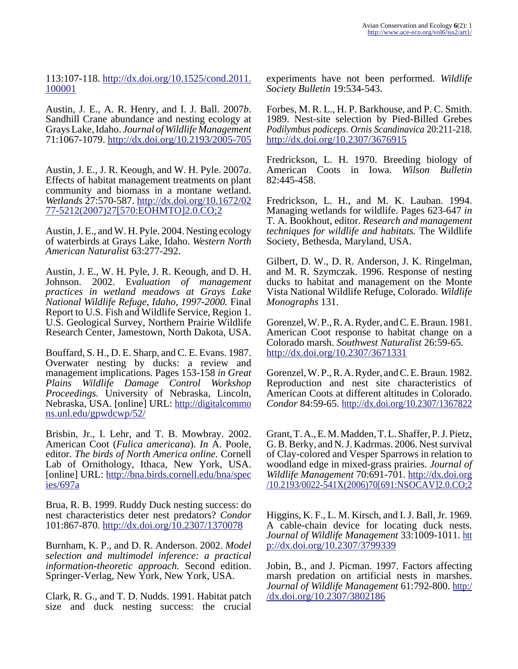113:107-118. [http://dx.doi.org/10.1525/cond.2011.](http://dx.doi.org/10.1525/cond.2011.100001) [100001](http://dx.doi.org/10.1525/cond.2011.100001)

Austin, J. E., A. R. Henry, and I. J. Ball. 2007*b*. Sandhill Crane abundance and nesting ecology at Grays Lake, Idaho. *Journal of Wildlife Management* 71:1067-1079.<http://dx.doi.org/10.2193/2005-705>

Austin, J. E., J. R. Keough, and W. H. Pyle. 2007*a*. Effects of habitat management treatments on plant community and biomass in a montane wetland. *Wetlands* 27:570-587. [http://dx.doi.org/10.1672/02](http://dx.doi.org/10.1672/0277-5212(2007)27[570:EOHMTO]2.0.CO;2) [77-5212\(2007\)27\[570:EOHMTO\]2.0.CO;2](http://dx.doi.org/10.1672/0277-5212(2007)27[570:EOHMTO]2.0.CO;2)

Austin, J. E., and W. H. Pyle. 2004. Nesting ecology of waterbirds at Grays Lake, Idaho. *Western North American Naturalist* 63:277-292.

Austin, J. E., W. H. Pyle, J. R. Keough, and D. H. Johnson. 2002. E*valuation of management practices in wetland meadows at Grays Lake National Wildlife Refuge, Idaho, 1997-2000.* Final Report to U.S. Fish and Wildlife Service, Region 1. U.S. Geological Survey, Northern Prairie Wildlife Research Center, Jamestown, North Dakota, USA.

Bouffard, S. H., D. E. Sharp, and C. E. Evans. 1987. Overwater nesting by ducks: a review and management implications. Pages 153-158 *in Great Plains Wildlife Damage Control Workshop Proceedings.* University of Nebraska, Lincoln, Nebraska, USA. [online] URL: [http://digitalcommo](http://digitalcommons.unl.edu/gpwdcwp/52/) [ns.unl.edu/gpwdcwp/52/](http://digitalcommons.unl.edu/gpwdcwp/52/)

Brisbin, Jr., I. Lehr, and T. B. Mowbray. 2002. American Coot (*Fulica americana*). *In* A. Poole, editor. *The birds of North America online.* Cornell Lab of Ornithology, Ithaca, New York, USA. [online] URL: [http://bna.birds.cornell.edu/bna/spec](http://bna.birds.cornell.edu/bna/species/697a) [ies/697a](http://bna.birds.cornell.edu/bna/species/697a)

Brua, R. B. 1999. Ruddy Duck nesting success: do nest characteristics deter nest predators? *Condor* 101:867-870.<http://dx.doi.org/10.2307/1370078>

Burnham, K. P., and D. R. Anderson. 2002. *Model selection and multimodel inference: a practical information-theoretic approach.* Second edition. Springer-Verlag, New York, New York, USA.

Clark, R. G., and T. D. Nudds. 1991. Habitat patch size and duck nesting success: the crucial

experiments have not been performed. *Wildlife Society Bulletin* 19:534-543.

Forbes, M. R. L., H. P. Barkhouse, and P. C. Smith. 1989. Nest-site selection by Pied-Billed Grebes *Podilymbus podiceps*. *Ornis Scandinavica* 20:211-218. <http://dx.doi.org/10.2307/3676915>

Fredrickson, L. H. 1970. Breeding biology of American Coots in Iowa. *Wilson Bulletin* 82:445-458.

Fredrickson, L. H., and M. K. Lauban. 1994. Managing wetlands for wildlife. Pages 623-647 *in* T. A. Bookhout, editor. *Research and management techniques for wildlife and habitats.* The Wildlife Society, Bethesda, Maryland, USA.

Gilbert, D. W., D. R. Anderson, J. K. Ringelman, and M. R. Szymczak. 1996. Response of nesting ducks to habitat and management on the Monte Vista National Wildlife Refuge, Colorado. *Wildlife Monographs* 131.

Gorenzel, W. P., R. A. Ryder, and C. E. Braun. 1981. American Coot response to habitat change on a Colorado marsh. *Southwest Naturalist* 26:59-65. <http://dx.doi.org/10.2307/3671331>

Gorenzel, W. P., R. A. Ryder, and C. E. Braun. 1982. Reproduction and nest site characteristics of American Coots at different altitudes in Colorado. *Condor* 84:59-65.<http://dx.doi.org/10.2307/1367822>

Grant, T. A., E. M. Madden, T. L. Shaffer, P. J. Pietz, G. B. Berky, and N. J. Kadrmas. 2006. Nest survival of Clay-colored and Vesper Sparrows in relation to woodland edge in mixed-grass prairies. *Journal of Wildlife Management* 70:691-701. [http://dx.doi.org](http://dx.doi.org/10.2193/0022-541X(2006)70[691:NSOCAV]2.0.CO;2) [/10.2193/0022-541X\(2006\)70\[691:NSOCAV\]2.0.CO;2](http://dx.doi.org/10.2193/0022-541X(2006)70[691:NSOCAV]2.0.CO;2)

Higgins, K. F., L. M. Kirsch, and I. J. Ball, Jr. 1969. A cable-chain device for locating duck nests. *Journal of Wildlife Management* 33:1009-1011. [htt](http://dx.doi.org/10.2307/3799339) [p://dx.doi.org/10.2307/3799339](http://dx.doi.org/10.2307/3799339)

Jobin, B., and J. Picman. 1997. Factors affecting marsh predation on artificial nests in marshes. *Journal of Wildlife Management* 61:792-800. [http:/](http://dx.doi.org/10.2307/3802186) [/dx.doi.org/10.2307/3802186](http://dx.doi.org/10.2307/3802186)